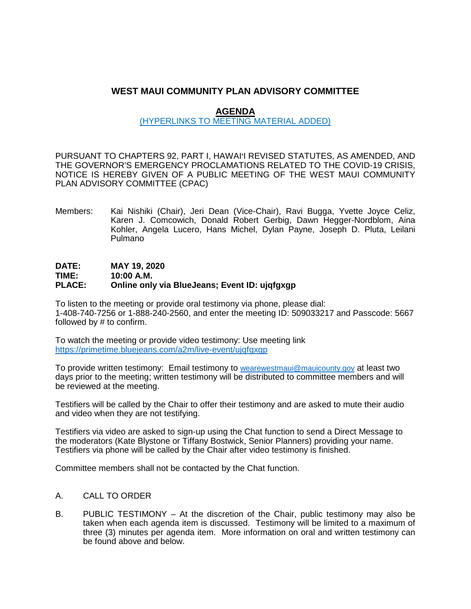# **WEST MAUI COMMUNITY PLAN ADVISORY COMMITTEE**

# **AGENDA**

### (HYPERLINKS TO MEETING MATERIAL ADDED)

PURSUANT TO CHAPTERS 92, PART I, HAWAI'I REVISED STATUTES, AS AMENDED, AND THE GOVERNOR'S EMERGENCY PROCLAMATIONS RELATED TO THE COVID-19 CRISIS, NOTICE IS HEREBY GIVEN OF A PUBLIC MEETING OF THE WEST MAUI COMMUNITY PLAN ADVISORY COMMITTEE (CPAC)

Members: Kai Nishiki (Chair), Jeri Dean (Vice-Chair), Ravi Bugga, Yvette Joyce Celiz, Karen J. Comcowich, Donald Robert Gerbig, Dawn Hegger-Nordblom, Aina Kohler, Angela Lucero, Hans Michel, Dylan Payne, Joseph D. Pluta, Leilani Pulmano

# **DATE: MAY 19, 2020 TIME: 10:00 A.M. Philace only via BlueJeans; Event ID: ujqfgxgp**

To listen to the meeting or provide oral testimony via phone, please dial: 1-408-740-7256 or 1-888-240-2560, and enter the meeting ID: 509033217 and Passcode: 5667 followed by # to confirm.

To watch the meeting or provide video testimony: Use meeting link <https://primetime.bluejeans.com/a2m/live-event/ujqfgxgp>

To provide written testimony: Email testimony to [wearewestmaui@mauicounty.gov](mailto:wearewestmaui@mauicounty.gov) at least two days prior to the meeting; written testimony will be distributed to committee members and will be reviewed at the meeting.

Testifiers will be called by the Chair to offer their testimony and are asked to mute their audio and video when they are not testifying.

Testifiers via video are asked to sign-up using the Chat function to send a Direct Message to the moderators (Kate Blystone or Tiffany Bostwick, Senior Planners) providing your name. Testifiers via phone will be called by the Chair after video testimony is finished.

Committee members shall not be contacted by the Chat function.

#### A. CALL TO ORDER

B. PUBLIC TESTIMONY – At the discretion of the Chair, public testimony may also be taken when each agenda item is discussed. Testimony will be limited to a maximum of three (3) minutes per agenda item. More information on oral and written testimony can be found above and below.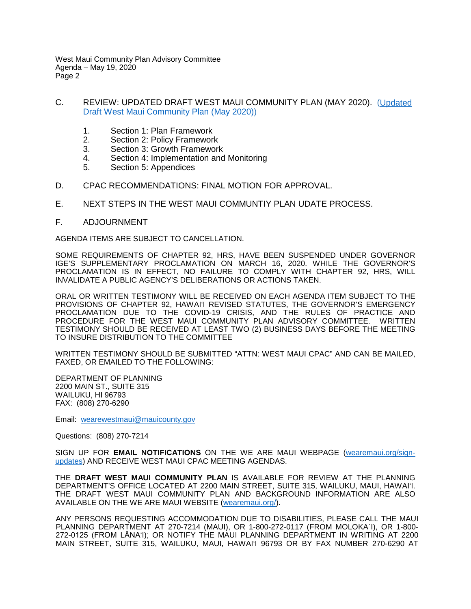West Maui Community Plan Advisory Committee Agenda – May 19, 2020 Page 2

- C. REVIEW: UPDATED DRAFT WEST MAUI COMMUNITY PLAN (MAY 2020). [\(Updated](https://wearemaui.konveio.com/draft-west-maui-community-plan)  [Draft West Maui Community Plan \(May 2020\)\)](https://wearemaui.konveio.com/draft-west-maui-community-plan)
	- 1. Section 1: Plan Framework
	- 2. Section 2: Policy Framework<br>3. Section 3: Growth Framework
	- Section 3: Growth Framework
	- 4. Section 4: Implementation and Monitoring
	- 5. Section 5: Appendices
- D. CPAC RECOMMENDATIONS: FINAL MOTION FOR APPROVAL.
- E. NEXT STEPS IN THE WEST MAUI COMMUNTIY PLAN UDATE PROCESS.
- F. ADJOURNMENT

AGENDA ITEMS ARE SUBJECT TO CANCELLATION.

SOME REQUIREMENTS OF CHAPTER 92, HRS, HAVE BEEN SUSPENDED UNDER GOVERNOR IGE'S SUPPLEMENTARY PROCLAMATION ON MARCH 16, 2020. WHILE THE GOVERNOR'S PROCLAMATION IS IN EFFECT, NO FAILURE TO COMPLY WITH CHAPTER 92, HRS, WILL INVALIDATE A PUBLIC AGENCY'S DELIBERATIONS OR ACTIONS TAKEN.

ORAL OR WRITTEN TESTIMONY WILL BE RECEIVED ON EACH AGENDA ITEM SUBJECT TO THE PROVISIONS OF CHAPTER 92, HAWAI'I REVISED STATUTES, THE GOVERNOR'S EMERGENCY PROCLAMATION DUE TO THE COVID-19 CRISIS, AND THE RULES OF PRACTICE AND PROCEDURE FOR THE WEST MAUI COMMUNITY PLAN ADVISORY COMMITTEE. WRITTEN TESTIMONY SHOULD BE RECEIVED AT LEAST TWO (2) BUSINESS DAYS BEFORE THE MEETING TO INSURE DISTRIBUTION TO THE COMMITTEE

WRITTEN TESTIMONY SHOULD BE SUBMITTED "ATTN: WEST MAUI CPAC" AND CAN BE MAILED, FAXED, OR EMAILED TO THE FOLLOWING:

DEPARTMENT OF PLANNING 2200 MAIN ST., SUITE 315 WAILUKU, HI 96793 FAX: (808) 270-6290

Email: [wearewestmaui@mauicounty.gov](mailto:wearewestmaui@mauicounty.gov)

Questions: (808) 270-7214

SIGN UP FOR **EMAIL NOTIFICATIONS** ON THE WE ARE MAUI WEBPAGE [\(wearemaui.org/sign](https://wearemaui.org/sign-updates)[updates\)](https://wearemaui.org/sign-updates) AND RECEIVE WEST MAUI CPAC MEETING AGENDAS.

THE **DRAFT WEST MAUI COMMUNITY PLAN** IS AVAILABLE FOR REVIEW AT THE PLANNING DEPARTMENT'S OFFICE LOCATED AT 2200 MAIN STREET, SUITE 315, WAILUKU, MAUI, HAWAI'I. THE DRAFT WEST MAUI COMMUNITY PLAN AND BACKGROUND INFORMATION ARE ALSO AVAILABLE ON THE WE ARE MAUI WEBSITE [\(wearemaui.org/\)](https://wearemaui.org/).

ANY PERSONS REQUESTING ACCOMMODATION DUE TO DISABILITIES, PLEASE CALL THE MAUI PLANNING DEPARTMENT AT 270-7214 (MAUI), OR 1-800-272-0117 (FROM MOLOKA`I), OR 1-800- 272-0125 (FROM LĀNA'I); OR NOTIFY THE MAUI PLANNING DEPARTMENT IN WRITING AT 2200 MAIN STREET, SUITE 315, WAILUKU, MAUI, HAWAI'I 96793 OR BY FAX NUMBER 270-6290 AT